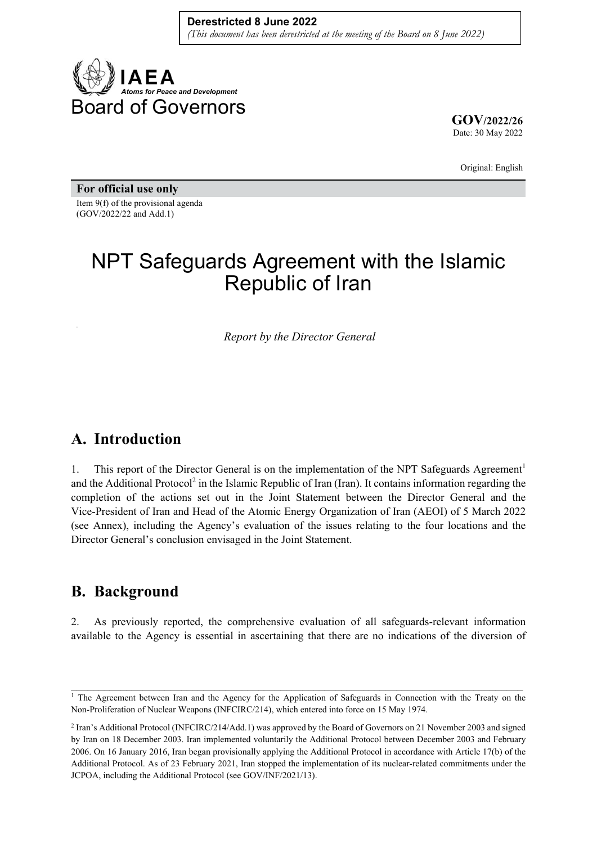

**GOV/2022/26** Date: 30 May 2022

Original: English

**For official use only**  Item 9(f) of the provisional agenda (GOV/2022/22 and Add.1)

# NPT Safeguards Agreement with the Islamic Republic of Iran

*Report by the Director General* 

### **A. Introduction**

1. This report of the Director General is on the implementation of the NPT Safeguards Agreement<sup>1</sup> and the Additional Protocol<sup>2</sup> in the Islamic Republic of Iran (Iran). It contains information regarding the completion of the actions set out in the Joint Statement between the Director General and the Vice-President of Iran and Head of the Atomic Energy Organization of Iran (AEOI) of 5 March 2022 (see Annex), including the Agency's evaluation of the issues relating to the four locations and the Director General's conclusion envisaged in the Joint Statement.

### **B. Background**

2. As previously reported, the comprehensive evaluation of all safeguards-relevant information available to the Agency is essential in ascertaining that there are no indications of the diversion of

 $\mathcal{L}_\mathcal{L} = \{ \mathcal{L}_\mathcal{L} = \{ \mathcal{L}_\mathcal{L} = \{ \mathcal{L}_\mathcal{L} = \{ \mathcal{L}_\mathcal{L} = \{ \mathcal{L}_\mathcal{L} = \{ \mathcal{L}_\mathcal{L} = \{ \mathcal{L}_\mathcal{L} = \{ \mathcal{L}_\mathcal{L} = \{ \mathcal{L}_\mathcal{L} = \{ \mathcal{L}_\mathcal{L} = \{ \mathcal{L}_\mathcal{L} = \{ \mathcal{L}_\mathcal{L} = \{ \mathcal{L}_\mathcal{L} = \{ \mathcal{L}_\mathcal{$ <sup>1</sup> The Agreement between Iran and the Agency for the Application of Safeguards in Connection with the Treaty on the Non-Proliferation of Nuclear Weapons (INFCIRC/214), which entered into force on 15 May 1974.

<sup>2</sup> Iran's Additional Protocol (INFCIRC/214/Add.1) was approved by the Board of Governors on 21 November 2003 and signed by Iran on 18 December 2003. Iran implemented voluntarily the Additional Protocol between December 2003 and February 2006. On 16 January 2016, Iran began provisionally applying the Additional Protocol in accordance with Article 17(b) of the Additional Protocol. As of 23 February 2021, Iran stopped the implementation of its nuclear-related commitments under the JCPOA, including the Additional Protocol (see GOV/INF/2021/13).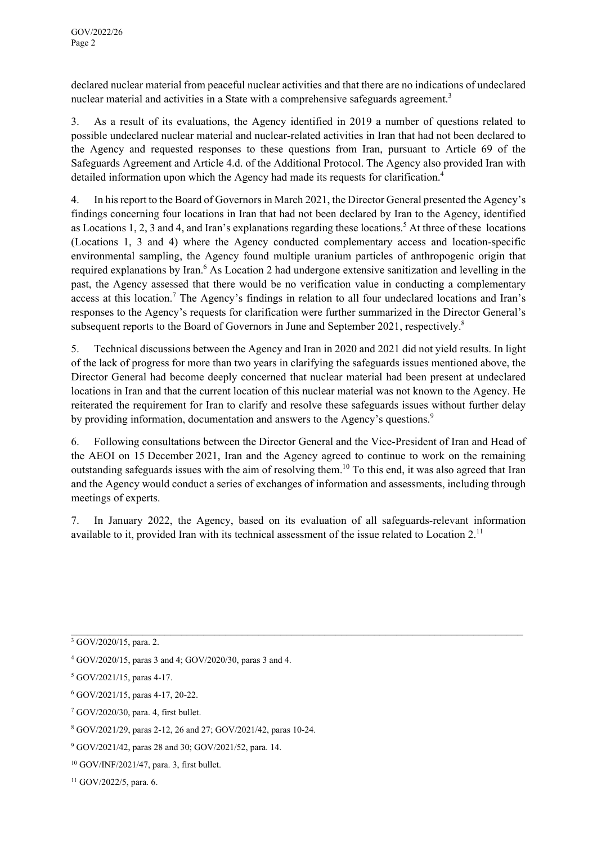declared nuclear material from peaceful nuclear activities and that there are no indications of undeclared nuclear material and activities in a State with a comprehensive safeguards agreement.<sup>3</sup>

3. As a result of its evaluations, the Agency identified in 2019 a number of questions related to possible undeclared nuclear material and nuclear-related activities in Iran that had not been declared to the Agency and requested responses to these questions from Iran, pursuant to Article 69 of the Safeguards Agreement and Article 4.d. of the Additional Protocol. The Agency also provided Iran with detailed information upon which the Agency had made its requests for clarification.<sup>4</sup>

4. In his report to the Board of Governors in March 2021, the Director General presented the Agency's findings concerning four locations in Iran that had not been declared by Iran to the Agency, identified as Locations 1, 2, 3 and 4, and Iran's explanations regarding these locations.<sup>5</sup> At three of these locations (Locations 1, 3 and 4) where the Agency conducted complementary access and location-specific environmental sampling, the Agency found multiple uranium particles of anthropogenic origin that required explanations by Iran.<sup>6</sup> As Location 2 had undergone extensive sanitization and levelling in the past, the Agency assessed that there would be no verification value in conducting a complementary access at this location.<sup>7</sup> The Agency's findings in relation to all four undeclared locations and Iran's responses to the Agency's requests for clarification were further summarized in the Director General's subsequent reports to the Board of Governors in June and September 2021, respectively.<sup>8</sup>

5. Technical discussions between the Agency and Iran in 2020 and 2021 did not yield results. In light of the lack of progress for more than two years in clarifying the safeguards issues mentioned above, the Director General had become deeply concerned that nuclear material had been present at undeclared locations in Iran and that the current location of this nuclear material was not known to the Agency. He reiterated the requirement for Iran to clarify and resolve these safeguards issues without further delay by providing information, documentation and answers to the Agency's questions.<sup>9</sup>

6. Following consultations between the Director General and the Vice-President of Iran and Head of the AEOI on 15 December 2021, Iran and the Agency agreed to continue to work on the remaining outstanding safeguards issues with the aim of resolving them.<sup>10</sup> To this end, it was also agreed that Iran and the Agency would conduct a series of exchanges of information and assessments, including through meetings of experts.

7. In January 2022, the Agency, based on its evaluation of all safeguards-relevant information available to it, provided Iran with its technical assessment of the issue related to Location 2.<sup>11</sup>

 $\_$  , and the contribution of the contribution of the contribution of the contribution of the contribution of  $\mathcal{L}_\text{max}$ 

7 GOV/2020/30, para. 4, first bullet.

 $3$  GOV/2020/15, para. 2.

<sup>4</sup> GOV/2020/15, paras 3 and 4; GOV/2020/30, paras 3 and 4.

<sup>5</sup> GOV/2021/15, paras 4-17.

<sup>6</sup> GOV/2021/15, paras 4-17, 20-22.

<sup>8</sup> GOV/2021/29, paras 2-12, 26 and 27; GOV/2021/42, paras 10-24.

<sup>9</sup> GOV/2021/42, paras 28 and 30; GOV/2021/52, para. 14.

<sup>10</sup> GOV/INF/2021/47, para. 3, first bullet.

 $11$  GOV/2022/5, para. 6.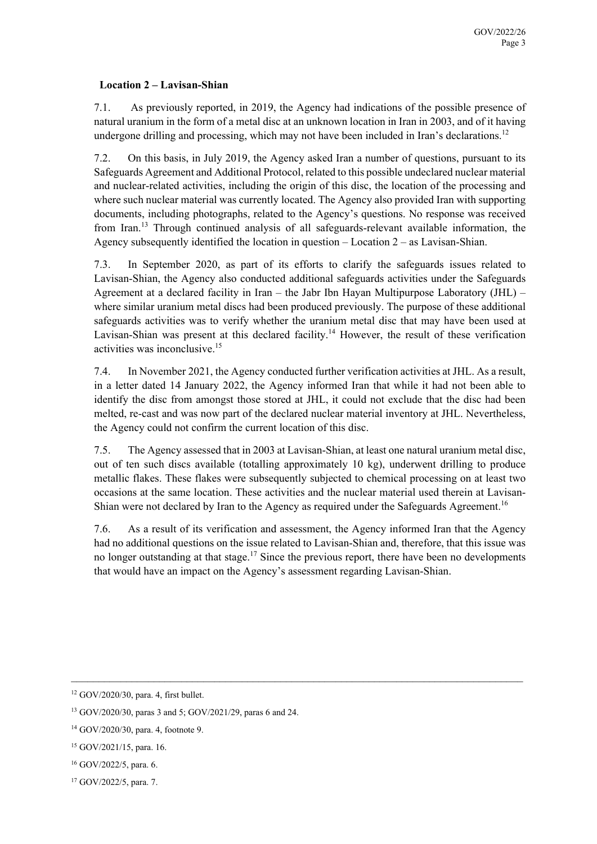#### **Location 2 – Lavisan-Shian**

7.1. As previously reported, in 2019, the Agency had indications of the possible presence of natural uranium in the form of a metal disc at an unknown location in Iran in 2003, and of it having undergone drilling and processing, which may not have been included in Iran's declarations.<sup>12</sup>

7.2. On this basis, in July 2019, the Agency asked Iran a number of questions, pursuant to its Safeguards Agreement and Additional Protocol, related to this possible undeclared nuclear material and nuclear-related activities, including the origin of this disc, the location of the processing and where such nuclear material was currently located. The Agency also provided Iran with supporting documents, including photographs, related to the Agency's questions. No response was received from Iran.<sup>13</sup> Through continued analysis of all safeguards-relevant available information, the Agency subsequently identified the location in question – Location  $2 -$  as Lavisan-Shian.

7.3. In September 2020, as part of its efforts to clarify the safeguards issues related to Lavisan-Shian, the Agency also conducted additional safeguards activities under the Safeguards Agreement at a declared facility in Iran – the Jabr Ibn Hayan Multipurpose Laboratory (JHL) – where similar uranium metal discs had been produced previously. The purpose of these additional safeguards activities was to verify whether the uranium metal disc that may have been used at Lavisan-Shian was present at this declared facility.<sup>14</sup> However, the result of these verification activities was inconclusive.15

7.4. In November 2021, the Agency conducted further verification activities at JHL. As a result, in a letter dated 14 January 2022, the Agency informed Iran that while it had not been able to identify the disc from amongst those stored at JHL, it could not exclude that the disc had been melted, re-cast and was now part of the declared nuclear material inventory at JHL. Nevertheless, the Agency could not confirm the current location of this disc.

7.5. The Agency assessed that in 2003 at Lavisan-Shian, at least one natural uranium metal disc, out of ten such discs available (totalling approximately 10 kg), underwent drilling to produce metallic flakes. These flakes were subsequently subjected to chemical processing on at least two occasions at the same location. These activities and the nuclear material used therein at Lavisan-Shian were not declared by Iran to the Agency as required under the Safeguards Agreement.<sup>16</sup>

7.6. As a result of its verification and assessment, the Agency informed Iran that the Agency had no additional questions on the issue related to Lavisan-Shian and, therefore, that this issue was no longer outstanding at that stage.<sup>17</sup> Since the previous report, there have been no developments that would have an impact on the Agency's assessment regarding Lavisan-Shian.

<sup>12</sup> GOV/2020/30, para. 4, first bullet.

<sup>13</sup> GOV/2020/30, paras 3 and 5; GOV/2021/29, paras 6 and 24.

<sup>14</sup> GOV/2020/30, para. 4, footnote 9.

<sup>15</sup> GOV/2021/15, para. 16.

<sup>16</sup> GOV/2022/5, para. 6.

<sup>17</sup> GOV/2022/5, para. 7.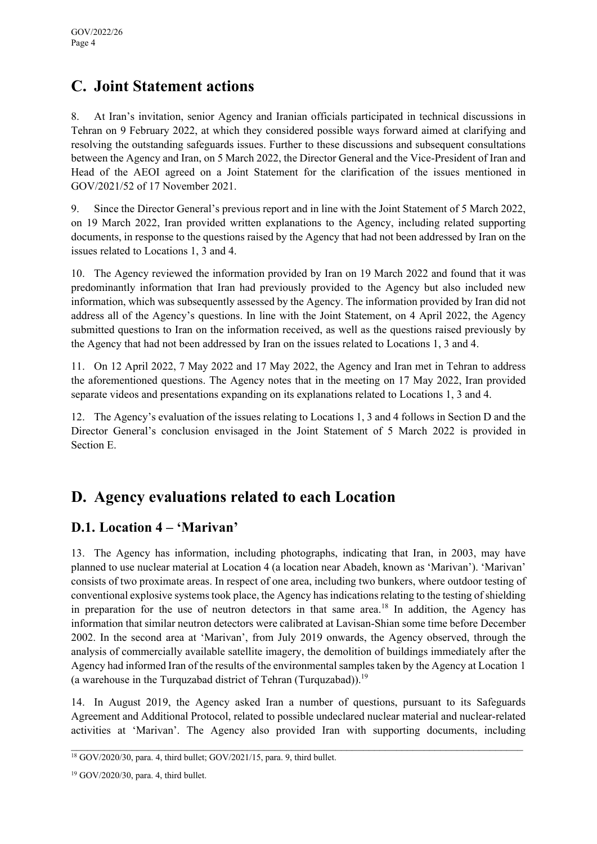# **C. Joint Statement actions**

8. At Iran's invitation, senior Agency and Iranian officials participated in technical discussions in Tehran on 9 February 2022, at which they considered possible ways forward aimed at clarifying and resolving the outstanding safeguards issues. Further to these discussions and subsequent consultations between the Agency and Iran, on 5 March 2022, the Director General and the Vice-President of Iran and Head of the AEOI agreed on a Joint Statement for the clarification of the issues mentioned in GOV/2021/52 of 17 November 2021.

9. Since the Director General's previous report and in line with the Joint Statement of 5 March 2022, on 19 March 2022, Iran provided written explanations to the Agency, including related supporting documents, in response to the questions raised by the Agency that had not been addressed by Iran on the issues related to Locations 1, 3 and 4.

10. The Agency reviewed the information provided by Iran on 19 March 2022 and found that it was predominantly information that Iran had previously provided to the Agency but also included new information, which was subsequently assessed by the Agency. The information provided by Iran did not address all of the Agency's questions. In line with the Joint Statement, on 4 April 2022, the Agency submitted questions to Iran on the information received, as well as the questions raised previously by the Agency that had not been addressed by Iran on the issues related to Locations 1, 3 and 4.

11. On 12 April 2022, 7 May 2022 and 17 May 2022, the Agency and Iran met in Tehran to address the aforementioned questions. The Agency notes that in the meeting on 17 May 2022, Iran provided separate videos and presentations expanding on its explanations related to Locations 1, 3 and 4.

12. The Agency's evaluation of the issues relating to Locations 1, 3 and 4 follows in Section D and the Director General's conclusion envisaged in the Joint Statement of 5 March 2022 is provided in Section E.

# **D. Agency evaluations related to each Location**

### **D.1. Location 4 – 'Marivan'**

13. The Agency has information, including photographs, indicating that Iran, in 2003, may have planned to use nuclear material at Location 4 (a location near Abadeh, known as 'Marivan'). 'Marivan' consists of two proximate areas. In respect of one area, including two bunkers, where outdoor testing of conventional explosive systems took place, the Agency has indications relating to the testing of shielding in preparation for the use of neutron detectors in that same area.<sup>18</sup> In addition, the Agency has information that similar neutron detectors were calibrated at Lavisan-Shian some time before December 2002. In the second area at 'Marivan', from July 2019 onwards, the Agency observed, through the analysis of commercially available satellite imagery, the demolition of buildings immediately after the Agency had informed Iran of the results of the environmental samples taken by the Agency at Location 1 (a warehouse in the Turquzabad district of Tehran (Turquzabad)).<sup>19</sup>

14. In August 2019, the Agency asked Iran a number of questions, pursuant to its Safeguards Agreement and Additional Protocol, related to possible undeclared nuclear material and nuclear-related activities at 'Marivan'. The Agency also provided Iran with supporting documents, including

 $\mathcal{L}_\mathcal{L} = \{ \mathcal{L}_\mathcal{L} = \{ \mathcal{L}_\mathcal{L} = \{ \mathcal{L}_\mathcal{L} = \{ \mathcal{L}_\mathcal{L} = \{ \mathcal{L}_\mathcal{L} = \{ \mathcal{L}_\mathcal{L} = \{ \mathcal{L}_\mathcal{L} = \{ \mathcal{L}_\mathcal{L} = \{ \mathcal{L}_\mathcal{L} = \{ \mathcal{L}_\mathcal{L} = \{ \mathcal{L}_\mathcal{L} = \{ \mathcal{L}_\mathcal{L} = \{ \mathcal{L}_\mathcal{L} = \{ \mathcal{L}_\mathcal{$ 

<sup>18</sup> GOV/2020/30, para. 4, third bullet; GOV/2021/15, para. 9, third bullet.

<sup>19</sup> GOV/2020/30, para. 4, third bullet.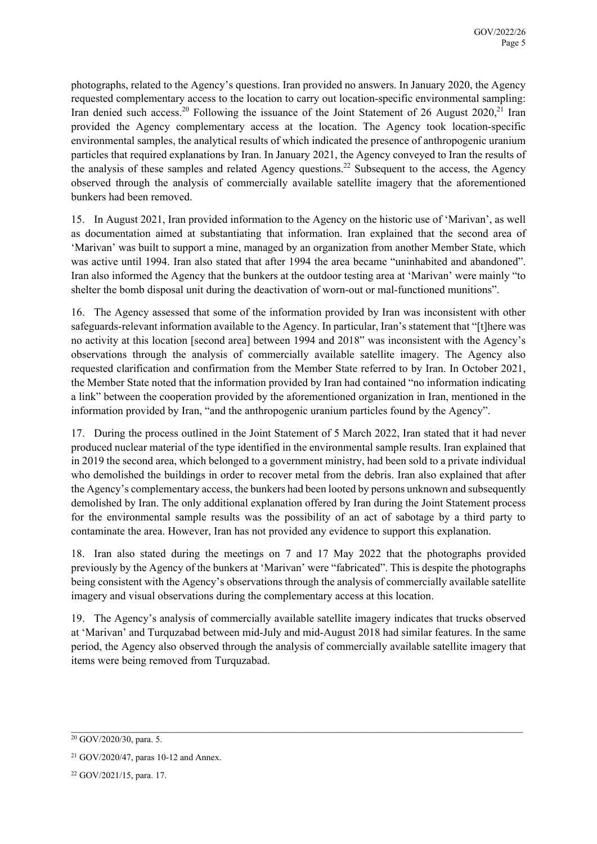photographs, related to the Agency's questions. Iran provided no answers. In January 2020, the Agency requested complementary access to the location to carry out location-specific environmental sampling: Iran denied such access.<sup>20</sup> Following the issuance of the Joint Statement of 26 August 2020,<sup>21</sup> Iran provided the Agency complementary access at the location. The Agency took location-specific environmental samples, the analytical results of which indicated the presence of anthropogenic uranium particles that required explanations by Iran. In January 2021, the Agency conveyed to Iran the results of the analysis of these samples and related Agency questions.<sup>22</sup> Subsequent to the access, the Agency observed through the analysis of commercially available satellite imagery that the aforementioned bunkers had been removed.

15. In August 2021, Iran provided information to the Agency on the historic use of 'Marivan', as well as documentation aimed at substantiating that information. Iran explained that the second area of 'Marivan' was built to support a mine, managed by an organization from another Member State, which was active until 1994. Iran also stated that after 1994 the area became "uninhabited and abandoned". Iran also informed the Agency that the bunkers at the outdoor testing area at 'Marivan' were mainly "to shelter the bomb disposal unit during the deactivation of worn-out or mal-functioned munitions".

16. The Agency assessed that some of the information provided by Iran was inconsistent with other safeguards-relevant information available to the Agency. In particular, Iran's statement that "[t]here was no activity at this location [second area] between 1994 and 2018" was inconsistent with the Agency's observations through the analysis of commercially available satellite imagery. The Agency also requested clarification and confirmation from the Member State referred to by Iran. In October 2021, the Member State noted that the information provided by Iran had contained "no information indicating a link" between the cooperation provided by the aforementioned organization in Iran, mentioned in the information provided by Iran, "and the anthropogenic uranium particles found by the Agency".

17. During the process outlined in the Joint Statement of 5 March 2022, Iran stated that it had never produced nuclear material of the type identified in the environmental sample results. Iran explained that in 2019 the second area, which belonged to a government ministry, had been sold to a private individual who demolished the buildings in order to recover metal from the debris. Iran also explained that after the Agency's complementary access, the bunkers had been looted by persons unknown and subsequently demolished by Iran. The only additional explanation offered by Iran during the Joint Statement process for the environmental sample results was the possibility of an act of sabotage by a third party to contaminate the area. However, Iran has not provided any evidence to support this explanation.

18. Iran also stated during the meetings on 7 and 17 May 2022 that the photographs provided previously by the Agency of the bunkers at 'Marivan' were "fabricated". This is despite the photographs being consistent with the Agency's observations through the analysis of commercially available satellite imagery and visual observations during the complementary access at this location.

19. The Agency's analysis of commercially available satellite imagery indicates that trucks observed at 'Marivan' and Turquzabad between mid-July and mid-August 2018 had similar features. In the same period, the Agency also observed through the analysis of commercially available satellite imagery that items were being removed from Turquzabad.

 $\mathcal{L}_\mathcal{L} = \{ \mathcal{L}_\mathcal{L} = \{ \mathcal{L}_\mathcal{L} = \{ \mathcal{L}_\mathcal{L} = \{ \mathcal{L}_\mathcal{L} = \{ \mathcal{L}_\mathcal{L} = \{ \mathcal{L}_\mathcal{L} = \{ \mathcal{L}_\mathcal{L} = \{ \mathcal{L}_\mathcal{L} = \{ \mathcal{L}_\mathcal{L} = \{ \mathcal{L}_\mathcal{L} = \{ \mathcal{L}_\mathcal{L} = \{ \mathcal{L}_\mathcal{L} = \{ \mathcal{L}_\mathcal{L} = \{ \mathcal{L}_\mathcal{$ 

 $20$  GOV/2020/30, para. 5.

<sup>21</sup> GOV/2020/47, paras 10-12 and Annex.

<sup>22</sup> GOV/2021/15, para. 17.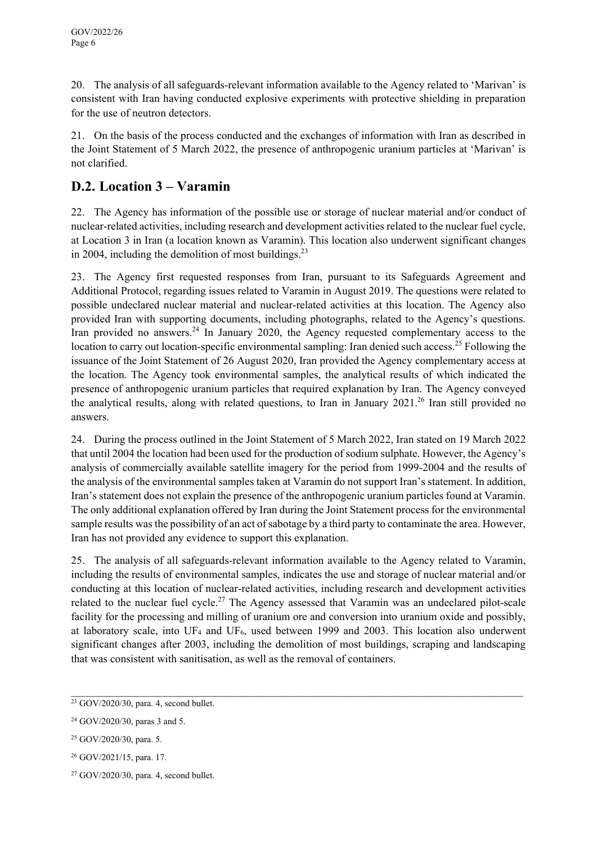20. The analysis of all safeguards-relevant information available to the Agency related to 'Marivan' is consistent with Iran having conducted explosive experiments with protective shielding in preparation for the use of neutron detectors.

21. On the basis of the process conducted and the exchanges of information with Iran as described in the Joint Statement of 5 March 2022, the presence of anthropogenic uranium particles at 'Marivan' is not clarified.

### **D.2. Location 3 – Varamin**

22. The Agency has information of the possible use or storage of nuclear material and/or conduct of nuclear-related activities, including research and development activities related to the nuclear fuel cycle, at Location 3 in Iran (a location known as Varamin). This location also underwent significant changes in 2004, including the demolition of most buildings.<sup>23</sup>

23. The Agency first requested responses from Iran, pursuant to its Safeguards Agreement and Additional Protocol, regarding issues related to Varamin in August 2019. The questions were related to possible undeclared nuclear material and nuclear-related activities at this location. The Agency also provided Iran with supporting documents, including photographs, related to the Agency's questions. Iran provided no answers.<sup>24</sup> In January 2020, the Agency requested complementary access to the location to carry out location-specific environmental sampling: Iran denied such access.<sup>25</sup> Following the issuance of the Joint Statement of 26 August 2020, Iran provided the Agency complementary access at the location. The Agency took environmental samples, the analytical results of which indicated the presence of anthropogenic uranium particles that required explanation by Iran. The Agency conveyed the analytical results, along with related questions, to Iran in January 2021.<sup>26</sup> Iran still provided no answers.

24. During the process outlined in the Joint Statement of 5 March 2022, Iran stated on 19 March 2022 that until 2004 the location had been used for the production of sodium sulphate. However, the Agency's analysis of commercially available satellite imagery for the period from 1999-2004 and the results of the analysis of the environmental samples taken at Varamin do not support Iran's statement. In addition, Iran's statement does not explain the presence of the anthropogenic uranium particles found at Varamin. The only additional explanation offered by Iran during the Joint Statement process for the environmental sample results was the possibility of an act of sabotage by a third party to contaminate the area. However, Iran has not provided any evidence to support this explanation.

25. The analysis of all safeguards-relevant information available to the Agency related to Varamin, including the results of environmental samples, indicates the use and storage of nuclear material and/or conducting at this location of nuclear-related activities, including research and development activities related to the nuclear fuel cycle.<sup>27</sup> The Agency assessed that Varamin was an undeclared pilot-scale facility for the processing and milling of uranium ore and conversion into uranium oxide and possibly, at laboratory scale, into UF4 and UF6, used between 1999 and 2003. This location also underwent significant changes after 2003, including the demolition of most buildings, scraping and landscaping that was consistent with sanitisation, as well as the removal of containers.

 $\mathcal{L}_\mathcal{L} = \{ \mathcal{L}_\mathcal{L} = \{ \mathcal{L}_\mathcal{L} = \{ \mathcal{L}_\mathcal{L} = \{ \mathcal{L}_\mathcal{L} = \{ \mathcal{L}_\mathcal{L} = \{ \mathcal{L}_\mathcal{L} = \{ \mathcal{L}_\mathcal{L} = \{ \mathcal{L}_\mathcal{L} = \{ \mathcal{L}_\mathcal{L} = \{ \mathcal{L}_\mathcal{L} = \{ \mathcal{L}_\mathcal{L} = \{ \mathcal{L}_\mathcal{L} = \{ \mathcal{L}_\mathcal{L} = \{ \mathcal{L}_\mathcal{$ 

26 GOV/2021/15, para. 17.

 $23$  GOV/2020/30, para. 4, second bullet.

<sup>24</sup> GOV/2020/30, paras 3 and 5.

<sup>25</sup> GOV/2020/30, para. 5.

 $27$  GOV/2020/30, para. 4, second bullet.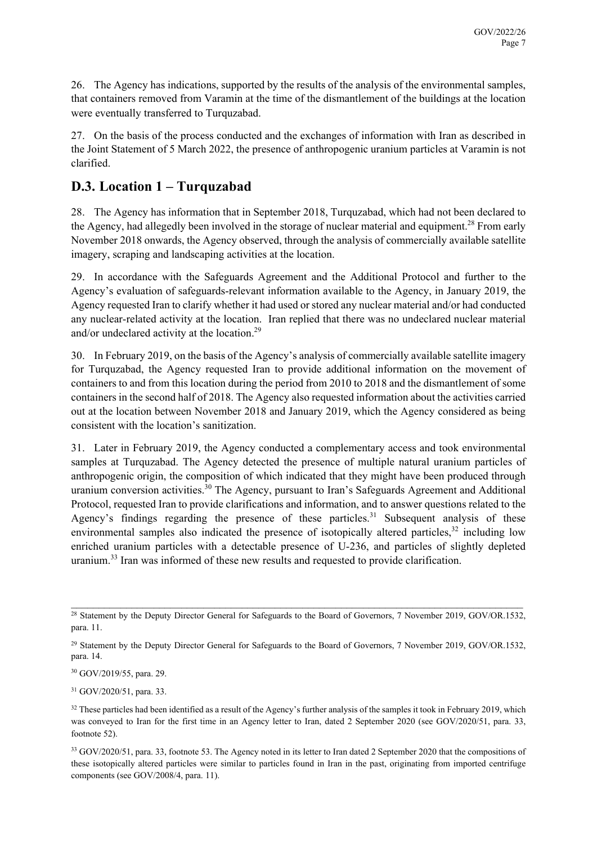26. The Agency has indications, supported by the results of the analysis of the environmental samples, that containers removed from Varamin at the time of the dismantlement of the buildings at the location were eventually transferred to Turquzabad.

27. On the basis of the process conducted and the exchanges of information with Iran as described in the Joint Statement of 5 March 2022, the presence of anthropogenic uranium particles at Varamin is not clarified.

### **D.3. Location 1 – Turquzabad**

28. The Agency has information that in September 2018, Turquzabad, which had not been declared to the Agency, had allegedly been involved in the storage of nuclear material and equipment.<sup>28</sup> From early November 2018 onwards, the Agency observed, through the analysis of commercially available satellite imagery, scraping and landscaping activities at the location.

29. In accordance with the Safeguards Agreement and the Additional Protocol and further to the Agency's evaluation of safeguards-relevant information available to the Agency, in January 2019, the Agency requested Iran to clarify whether it had used or stored any nuclear material and/or had conducted any nuclear-related activity at the location. Iran replied that there was no undeclared nuclear material and/or undeclared activity at the location.<sup>29</sup>

30. In February 2019, on the basis of the Agency's analysis of commercially available satellite imagery for Turquzabad, the Agency requested Iran to provide additional information on the movement of containers to and from this location during the period from 2010 to 2018 and the dismantlement of some containers in the second half of 2018. The Agency also requested information about the activities carried out at the location between November 2018 and January 2019, which the Agency considered as being consistent with the location's sanitization.

31. Later in February 2019, the Agency conducted a complementary access and took environmental samples at Turquzabad. The Agency detected the presence of multiple natural uranium particles of anthropogenic origin, the composition of which indicated that they might have been produced through uranium conversion activities.<sup>30</sup> The Agency, pursuant to Iran's Safeguards Agreement and Additional Protocol, requested Iran to provide clarifications and information, and to answer questions related to the Agency's findings regarding the presence of these particles.<sup>31</sup> Subsequent analysis of these environmental samples also indicated the presence of isotopically altered particles,  $32$  including low enriched uranium particles with a detectable presence of U-236, and particles of slightly depleted uranium.<sup>33</sup> Iran was informed of these new results and requested to provide clarification.

30 GOV/2019/55, para. 29.

31 GOV/2020/51, para. 33.

 $\mathcal{L}_\mathcal{L} = \{ \mathcal{L}_\mathcal{L} = \{ \mathcal{L}_\mathcal{L} = \{ \mathcal{L}_\mathcal{L} = \{ \mathcal{L}_\mathcal{L} = \{ \mathcal{L}_\mathcal{L} = \{ \mathcal{L}_\mathcal{L} = \{ \mathcal{L}_\mathcal{L} = \{ \mathcal{L}_\mathcal{L} = \{ \mathcal{L}_\mathcal{L} = \{ \mathcal{L}_\mathcal{L} = \{ \mathcal{L}_\mathcal{L} = \{ \mathcal{L}_\mathcal{L} = \{ \mathcal{L}_\mathcal{L} = \{ \mathcal{L}_\mathcal{$ <sup>28</sup> Statement by the Deputy Director General for Safeguards to the Board of Governors, 7 November 2019, GOV/OR.1532, para. 11.

<sup>&</sup>lt;sup>29</sup> Statement by the Deputy Director General for Safeguards to the Board of Governors, 7 November 2019, GOV/OR.1532, para. 14.

 $32$  These particles had been identified as a result of the Agency's further analysis of the samples it took in February 2019, which was conveyed to Iran for the first time in an Agency letter to Iran, dated 2 September 2020 (see GOV/2020/51, para. 33, footnote 52).

<sup>&</sup>lt;sup>33</sup> GOV/2020/51, para. 33, footnote 53. The Agency noted in its letter to Iran dated 2 September 2020 that the compositions of these isotopically altered particles were similar to particles found in Iran in the past, originating from imported centrifuge components (see GOV/2008/4, para. 11).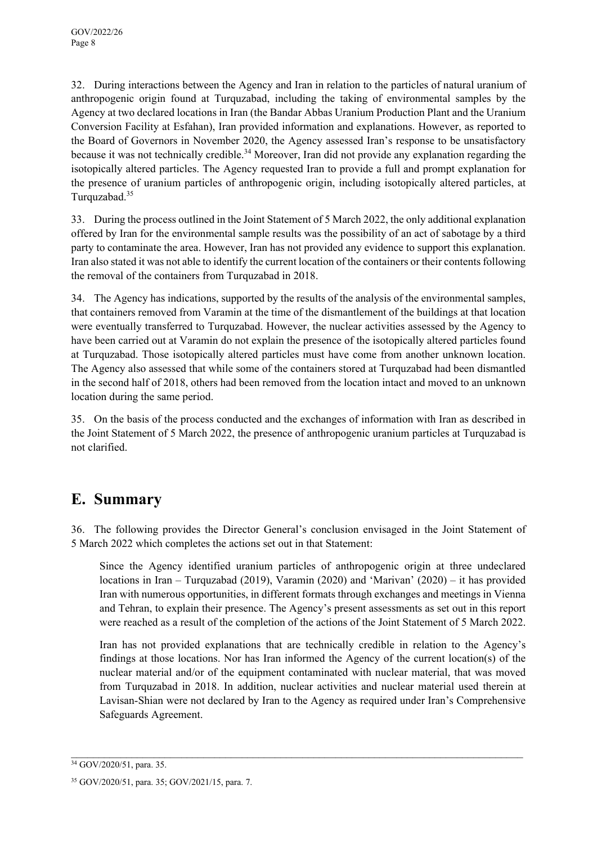32. During interactions between the Agency and Iran in relation to the particles of natural uranium of anthropogenic origin found at Turquzabad, including the taking of environmental samples by the Agency at two declared locations in Iran (the Bandar Abbas Uranium Production Plant and the Uranium Conversion Facility at Esfahan), Iran provided information and explanations. However, as reported to the Board of Governors in November 2020, the Agency assessed Iran's response to be unsatisfactory because it was not technically credible.<sup>34</sup> Moreover, Iran did not provide any explanation regarding the isotopically altered particles. The Agency requested Iran to provide a full and prompt explanation for the presence of uranium particles of anthropogenic origin, including isotopically altered particles, at Turquzabad.35

33. During the process outlined in the Joint Statement of 5 March 2022, the only additional explanation offered by Iran for the environmental sample results was the possibility of an act of sabotage by a third party to contaminate the area. However, Iran has not provided any evidence to support this explanation. Iran also stated it was not able to identify the current location of the containers or their contents following the removal of the containers from Turquzabad in 2018.

34. The Agency has indications, supported by the results of the analysis of the environmental samples, that containers removed from Varamin at the time of the dismantlement of the buildings at that location were eventually transferred to Turquzabad. However, the nuclear activities assessed by the Agency to have been carried out at Varamin do not explain the presence of the isotopically altered particles found at Turquzabad. Those isotopically altered particles must have come from another unknown location. The Agency also assessed that while some of the containers stored at Turquzabad had been dismantled in the second half of 2018, others had been removed from the location intact and moved to an unknown location during the same period.

35. On the basis of the process conducted and the exchanges of information with Iran as described in the Joint Statement of 5 March 2022, the presence of anthropogenic uranium particles at Turquzabad is not clarified.

# **E. Summary**

36. The following provides the Director General's conclusion envisaged in the Joint Statement of 5 March 2022 which completes the actions set out in that Statement:

Since the Agency identified uranium particles of anthropogenic origin at three undeclared locations in Iran – Turquzabad (2019), Varamin (2020) and 'Marivan' (2020) – it has provided Iran with numerous opportunities, in different formats through exchanges and meetings in Vienna and Tehran, to explain their presence. The Agency's present assessments as set out in this report were reached as a result of the completion of the actions of the Joint Statement of 5 March 2022.

Iran has not provided explanations that are technically credible in relation to the Agency's findings at those locations. Nor has Iran informed the Agency of the current location(s) of the nuclear material and/or of the equipment contaminated with nuclear material, that was moved from Turquzabad in 2018. In addition, nuclear activities and nuclear material used therein at Lavisan-Shian were not declared by Iran to the Agency as required under Iran's Comprehensive Safeguards Agreement.

 $\_$  , and the contribution of the contribution of the contribution of the contribution of the contribution of  $\mathcal{L}_\text{max}$ 

<sup>&</sup>lt;sup>34</sup> GOV/2020/51, para. 35.

<sup>35</sup> GOV/2020/51, para. 35; GOV/2021/15, para. 7.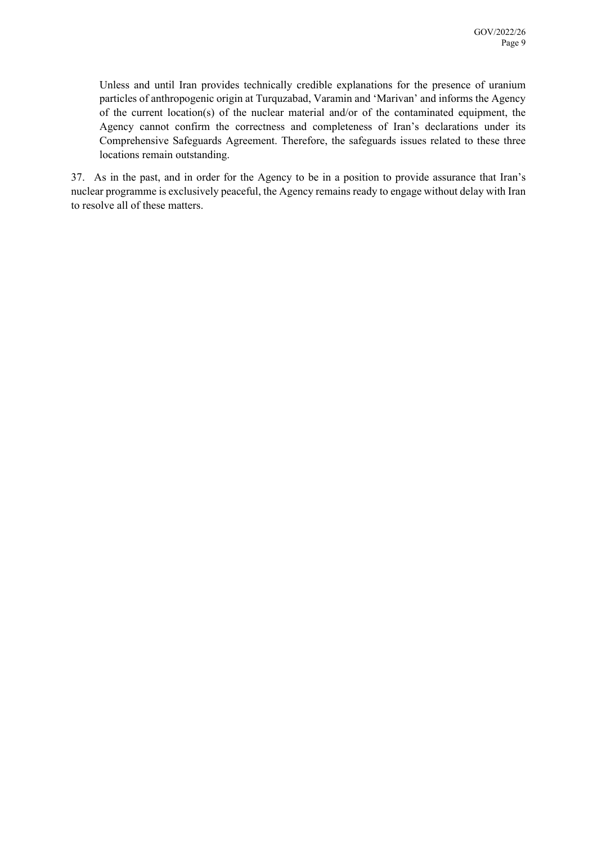Unless and until Iran provides technically credible explanations for the presence of uranium particles of anthropogenic origin at Turquzabad, Varamin and 'Marivan' and informs the Agency of the current location(s) of the nuclear material and/or of the contaminated equipment, the Agency cannot confirm the correctness and completeness of Iran's declarations under its Comprehensive Safeguards Agreement. Therefore, the safeguards issues related to these three locations remain outstanding.

37. As in the past, and in order for the Agency to be in a position to provide assurance that Iran's nuclear programme is exclusively peaceful, the Agency remains ready to engage without delay with Iran to resolve all of these matters.